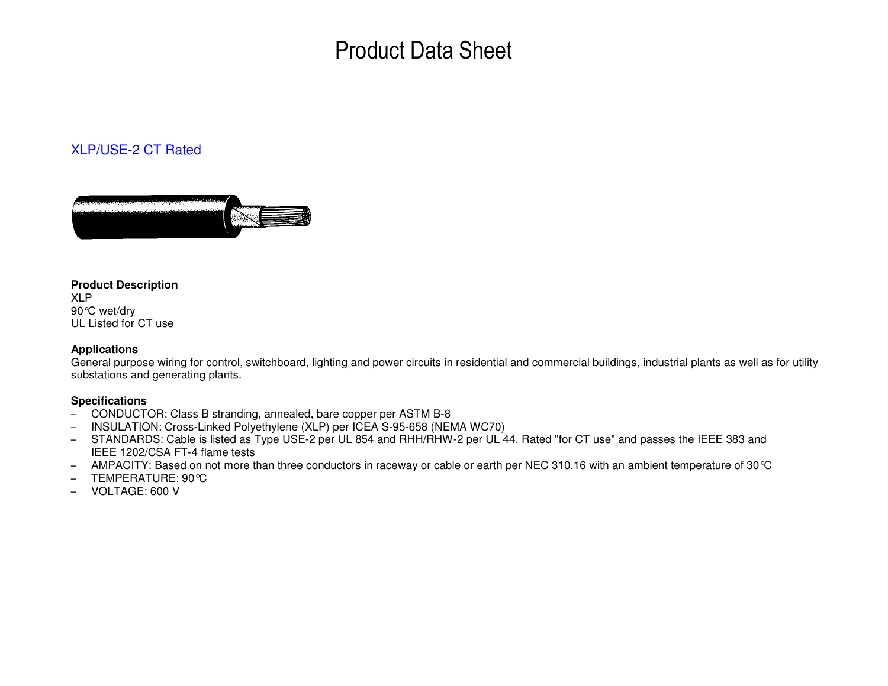# Product Data Sheet

### XLP/USE-2 CT Rated



#### **Product Description**

XLP 90°C wet/dry UL Listed for CT use

#### **Applications**

 General purpose wiring for control, switchboard, lighting and power circuits in residential and commercial buildings, industrial plants as well as for utility substations and generating plants.

#### **Specifications**

- CONDUCTOR: Class B stranding, annealed, bare copper per ASTM B-8
- INSULATION: Cross-Linked Polyethylene (XLP) per ICEA S-95-658 (NEMA WC70)
- STANDARDS: Cable is listed as Type USE-2 per UL 854 and RHH/RHW-2 per UL 44. Rated "for CT use" and passes the IEEE 383 and IEEE 1202/CSA FT-4 flame tests
- AMPACITY: Based on not more than three conductors in raceway or cable or earth per NEC 310.16 with an ambient temperature of 30°C
- TEMPERATURE: 90°C
- VOLTAGE: 600 V